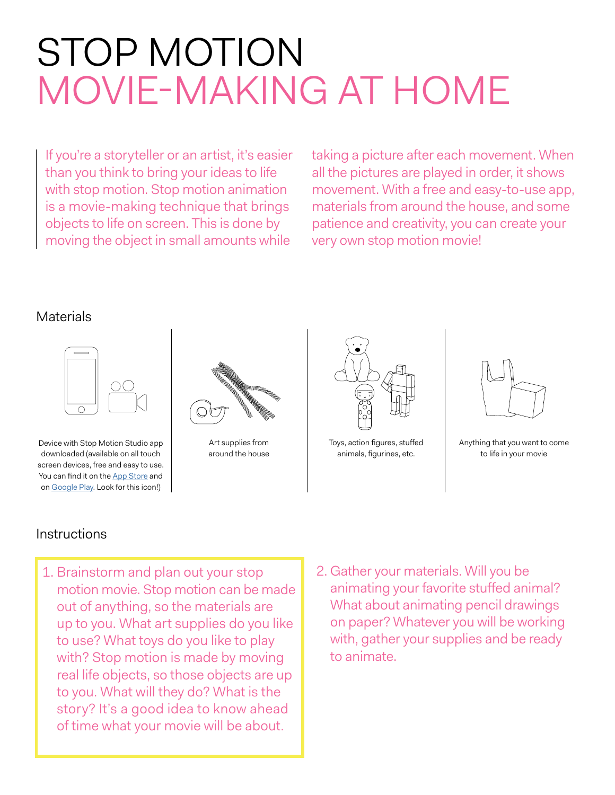## STOP MOTION MOVIE-MAKING AT HOME

If you're a storyteller or an artist, it's easier than you think to bring your ideas to life with stop motion. Stop motion animation is a movie-making technique that brings objects to life on screen. This is done by moving the object in small amounts while

taking a picture after each movement. When all the pictures are played in order, it shows movement. With a free and easy-to-use app, materials from around the house, and some patience and creativity, you can create your very own stop motion movie!

## Materials



Device with Stop Motion Studio app downloaded (available on all touch screen devices, free and easy to use. You can find it on the [App Store](https://apps.apple.com/us/app/stop-motion-studio/id441651297) and on [Google Play.](https://chrome.google.com/webstore/detail/stop-motion-animator/dhgmfcabdnkbdhelnooodefedbilcpho?hl=en-US) Look for this icon!)



Art supplies from around the house



Toys, action figures, stuffed animals, figurines, etc.



Anything that you want to come to life in your movie

## **Instructions**

- 1. Brainstorm and plan out your stop motion movie. Stop motion can be made out of anything, so the materials are up to you. What art supplies do you like to use? What toys do you like to play with? Stop motion is made by moving real life objects, so those objects are up to you. What will they do? What is the story? It's a good idea to know ahead of time what your movie will be about.
- 2. Gather your materials. Will you be animating your favorite stuffed animal? What about animating pencil drawings on paper? Whatever you will be working with, gather your supplies and be ready to animate.